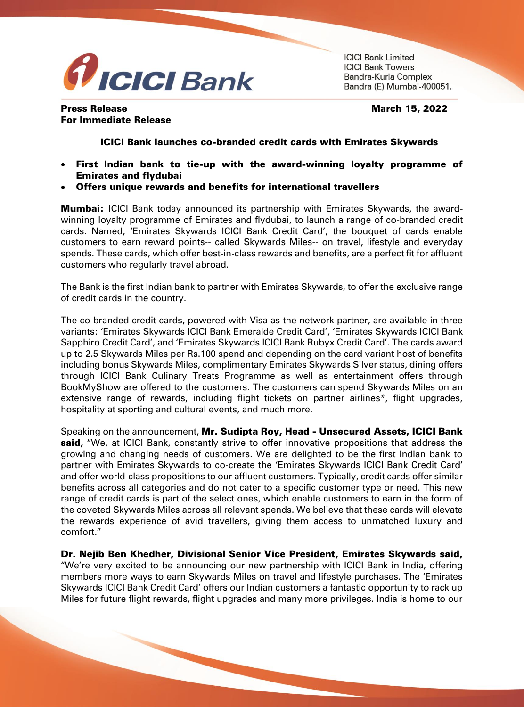

**ICICI Bank Limited ICICI Bank Towers** Bandra-Kurla Complex Bandra (E) Mumbai-400051.

## Press Release March 15, 2022 For Immediate Release

## ICICI Bank launches co-branded credit cards with Emirates Skywards

- First Indian bank to tie-up with the award-winning loyalty programme of Emirates and flydubai
- Offers unique rewards and benefits for international travellers

**Mumbai:** ICICI Bank today announced its partnership with Emirates Skywards, the awardwinning loyalty programme of Emirates and flydubai, to launch a range of co-branded credit cards. Named, 'Emirates Skywards ICICI Bank Credit Card', the bouquet of cards enable customers to earn reward points-- called Skywards Miles-- on travel, lifestyle and everyday spends. These cards, which offer best-in-class rewards and benefits, are a perfect fit for affluent customers who regularly travel abroad.

The Bank is the first Indian bank to partner with Emirates Skywards, to offer the exclusive range of credit cards in the country.

The co-branded credit cards, powered with Visa as the network partner, are available in three variants: 'Emirates Skywards ICICI Bank Emeralde Credit Card', 'Emirates Skywards ICICI Bank Sapphiro Credit Card', and 'Emirates Skywards ICICI Bank Rubyx Credit Card'. The cards award up to 2.5 Skywards Miles per Rs.100 spend and depending on the card variant host of benefits including bonus Skywards Miles, complimentary Emirates Skywards Silver status, dining offers through ICICI Bank Culinary Treats Programme as well as entertainment offers through BookMyShow are offered to the customers. The customers can spend Skywards Miles on an extensive range of rewards, including flight tickets on partner airlines\*, flight upgrades, hospitality at sporting and cultural events, and much more.

Speaking on the announcement, Mr. Sudipta Roy, Head - Unsecured Assets, ICICI Bank said, "We, at ICICI Bank, constantly strive to offer innovative propositions that address the growing and changing needs of customers. We are delighted to be the first Indian bank to partner with Emirates Skywards to co-create the 'Emirates Skywards ICICI Bank Credit Card' and offer world-class propositions to our affluent customers. Typically, credit cards offer similar benefits across all categories and do not cater to a specific customer type or need. This new range of credit cards is part of the select ones, which enable customers to earn in the form of the coveted Skywards Miles across all relevant spends. We believe that these cards will elevate the rewards experience of avid travellers, giving them access to unmatched luxury and comfort."

Dr. Nejib Ben Khedher, Divisional Senior Vice President, Emirates Skywards said, "We're very excited to be announcing our new partnership with ICICI Bank in India, offering members more ways to earn Skywards Miles on travel and lifestyle purchases. The 'Emirates Skywards ICICI Bank Credit Card' offers our Indian customers a fantastic opportunity to rack up Miles for future flight rewards, flight upgrades and many more privileges. India is home to our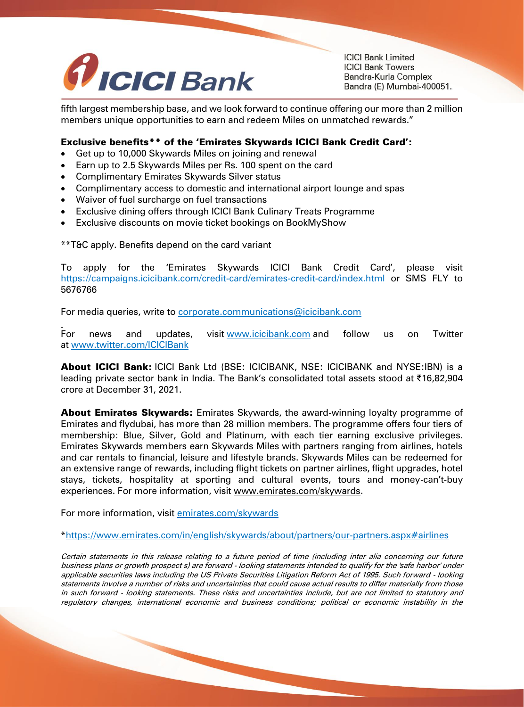

**ICICI Bank Limited ICICI Bank Towers** Bandra-Kurla Complex Bandra (E) Mumbai-400051.

fifth largest membership base, and we look forward to continue offering our more than 2 million members unique opportunities to earn and redeem Miles on unmatched rewards."

## Exclusive benefits\*\* of the 'Emirates Skywards ICICI Bank Credit Card':

- Get up to 10,000 Skywards Miles on joining and renewal
- Earn up to 2.5 Skywards Miles per Rs. 100 spent on the card
- Complimentary Emirates Skywards Silver status
- Complimentary access to domestic and international airport lounge and spas
- Waiver of fuel surcharge on fuel transactions
- Exclusive dining offers through ICICI Bank Culinary Treats Programme
- Exclusive discounts on movie ticket bookings on BookMyShow

\*\*T&C apply. Benefits depend on the card variant

To apply for the 'Emirates Skywards ICICI Bank Credit Card', please visit <https://campaigns.icicibank.com/credit-card/emirates-credit-card/index.html> or SMS FLY to 5676766

For media queries, write to **[corporate.communications@icicibank.com](mailto:corporate.communications@icicibank.com)** 

For news and updates, visit [www.icicibank.com](https://secure-web.cisco.com/1Zl_TefDqkaF_uCTf1BCEC4nMGXNFjCjgyhkdhFdBHyOa4ziLSwy2EZlgCpwUMFZf5-kJuVVd-8ZElA1FO1mfXO_7gH27OS5XrVnAJPPBA9BWMJ-phqsOgLBLrhLAKQHG5xLmxEVufaP9ezhCQi5JxgZJXo_sAeWSjPoEUOeefcMU3YbT4Sg_k6IBrxVzfqzdsb7gK_FqEq4_Sa20H-LLIsZ66Yc0Kcs9eICuIJrNFnEXMgg1lg4p8XCZDWMwUaeKrPFsEivVA5zfRQuPF0hAPG0RkLARD5EKYfZJXa8Rwx-KIYO20i5xaZDEU86srRRQ8ah6iOQP5cgZrvSHnFHOXQ/https%3A%2F%2Fprotect-eu.mimecast.com%2Fs%2F1awrCMwljS58A2NXSkwh6M%3Fdomain%3Dicicibank.com%2F) and follow us on Twitter at [www.twitter.com/ICICIBank](https://secure-web.cisco.com/1BV0kXl9FJ0HbwQc7KIV-Eh9Ay3OaHWMU7v0JHNsFwkE9AMc0e79BoN-SL7hhzeTr8NWmFs8SisgIflE4g1xq80TWKGAvWehOO8nQy9saxaJm--_b99T9TigNbHK9lR3BPIcnQqi81vftw82MfO02edNL8t0-KpS5OkjhliLbfDntYMzu_KB6XDlyKucH5KGBYM8vCJcXWtlv1CpSDV9czRPwRZavwpbGnqxNPKBbOags8qZuLnZa8MBBvESnRKD3ynnGdv8lXUqNWdHWYgKuuKvka8uINWqGgDTHKVUi_3_Ca8LBGkE-hQhoF4XQ-e9h5nJcQ3A2w6hti9DYs-i1tw/https%3A%2F%2Fprotect-eu.mimecast.com%2Fs%2FCu3pCOMn7sAXyNWnfrWBS3%3Fdomain%3Dtwitter.com)

About ICICI Bank: ICICI Bank Ltd (BSE: ICICIBANK, NSE: ICICIBANK and NYSE:IBN) is a leading private sector bank in India. The Bank's consolidated total assets stood at ₹16,82,904 crore at December 31, 2021.

**About Emirates Skywards:** Emirates Skywards, the award-winning loyalty programme of Emirates and flydubai, has more than 28 million members. The programme offers four tiers of membership: Blue, Silver, Gold and Platinum, with each tier earning exclusive privileges. Emirates Skywards members earn Skywards Miles with partners ranging from airlines, hotels and car rentals to financial, leisure and lifestyle brands. Skywards Miles can be redeemed for an extensive range of rewards, including flight tickets on partner airlines, flight upgrades, hotel stays, tickets, hospitality at sporting and cultural events, tours and money-can't-buy experiences. For more information, visit [www.emirates.com/skywards.](http://secure-web.cisco.com/1vKgHJ3Ln9DMblSa6Y2sf0tsEg5Q_EQBiBHncE_tEYFiQztBhc3emFhtIjjrAeN2PGzxdA9ghj1rMP8BEUr22bEu6rehbfd0ZKCXDUGwjs_DFBBVNfXxdTgaw6nLFXG_wI7Evf-wg_vwCGZsaok3n0YqY4J114yZyrG3GYP2MnHwb3f7F_OsKySXi5YB8ou1koHA5HebSUnRamcQLrsi_IohZybVNIkFy3b9uCMvwv3eeYll7WvC6R3_eivBzvebdeWU2plSDCUN0fqWXl3jhAB-5NvHcgIZiqxbCD2DrB9jbusfrYTmp9fRxAeLA7h96K7kZuLTZ-aA5kAq78TfNMA/http%3A%2F%2Fwww.emirates.com%2Fskywards)

For more information, visit [emirates.com/skywards](file:///C:/Users/s458987/AppData/Local/Microsoft/Windows/INetCache/Content.Outlook/9C98UZKV/emirates.com/skywards)

[\\*https://www.emirates.com/in/english/skywards/about/partners/our-partners.aspx#airlines](https://secure-web.cisco.com/1xMWmXnnJW3LtuaUtFH7-2Mw8id4h_UwGohiUtsnIQwI2TtOXu1hTn8-jbqlv3q2hyP8gJnifkwwgD5KEEx5G2yv-C3EQ4L2WNa2-PwdffxuIiYeOfIi6Of0RWCWgFHkPEA6AQfPoeKPFmni6ziN1wi_FHoeuansXJxUcEjk5RtzzeOHXmewTjzbdqUOnuvO3nAAoABd28IFx09qlmqJZ1ZRMzvKLSS8kX9T1vr5wywXeuy-jE4bUeT0U_dNkKcnx0LKvSp_oidRd3nyU3Kc0348nJn1URSYOf8ab0ayFVdLUYoL7LWH4mm-hdUtnC3a-ra5PSuG1UepYHrRXuvrRsA/https%3A%2F%2Fwww.emirates.com%2Fin%2Fenglish%2Fskywards%2Fabout%2Fpartners%2Four-partners.aspx%23airlines)

Certain statements in this release relating to a future period of time (including inter alia concerning our future business plans or growth prospect s) are forward - looking statements intended to qualify for the 'safe harbor' under applicable securities laws including the US Private Securities Litigation Reform Act of 1995. Such forward - looking statements involve a number of risks and uncertainties that could cause actual results to differ materially from those in such forward - looking statements. These risks and uncertainties include, but are not limited to statutory and regulatory changes, international economic and business conditions; political or economic instability in the